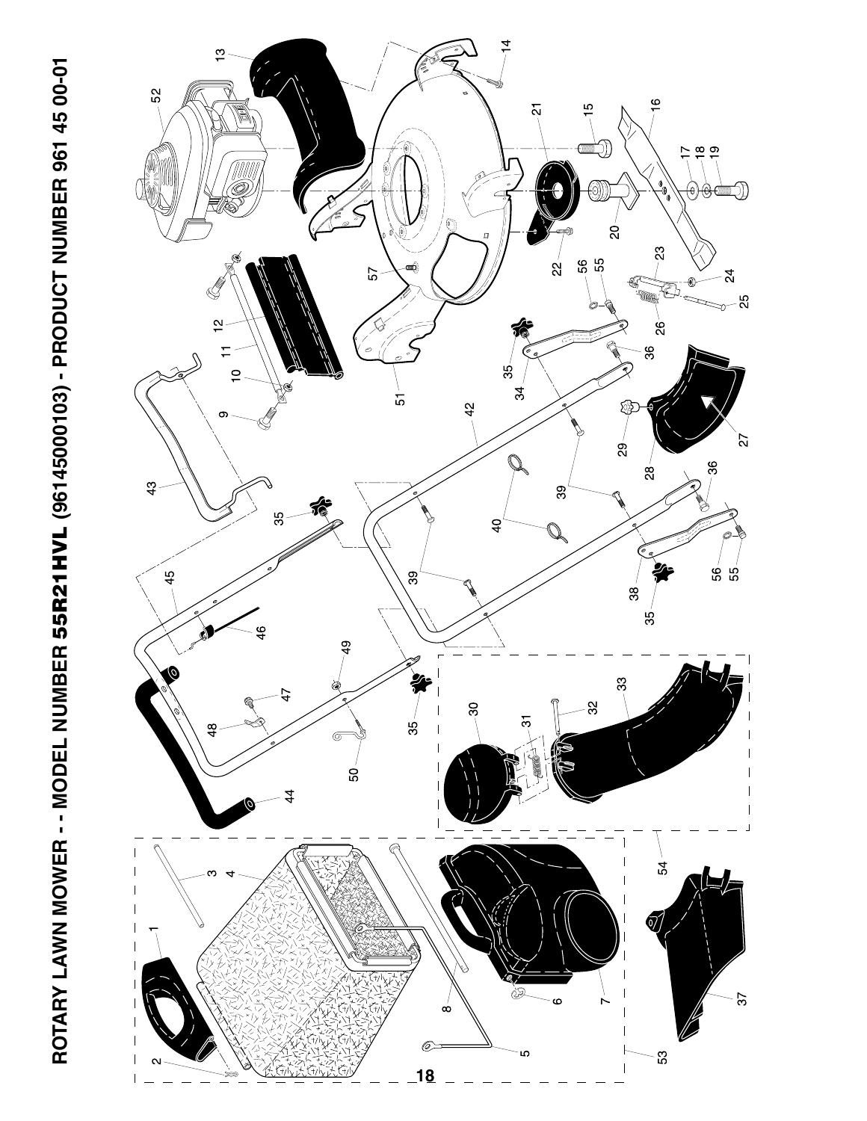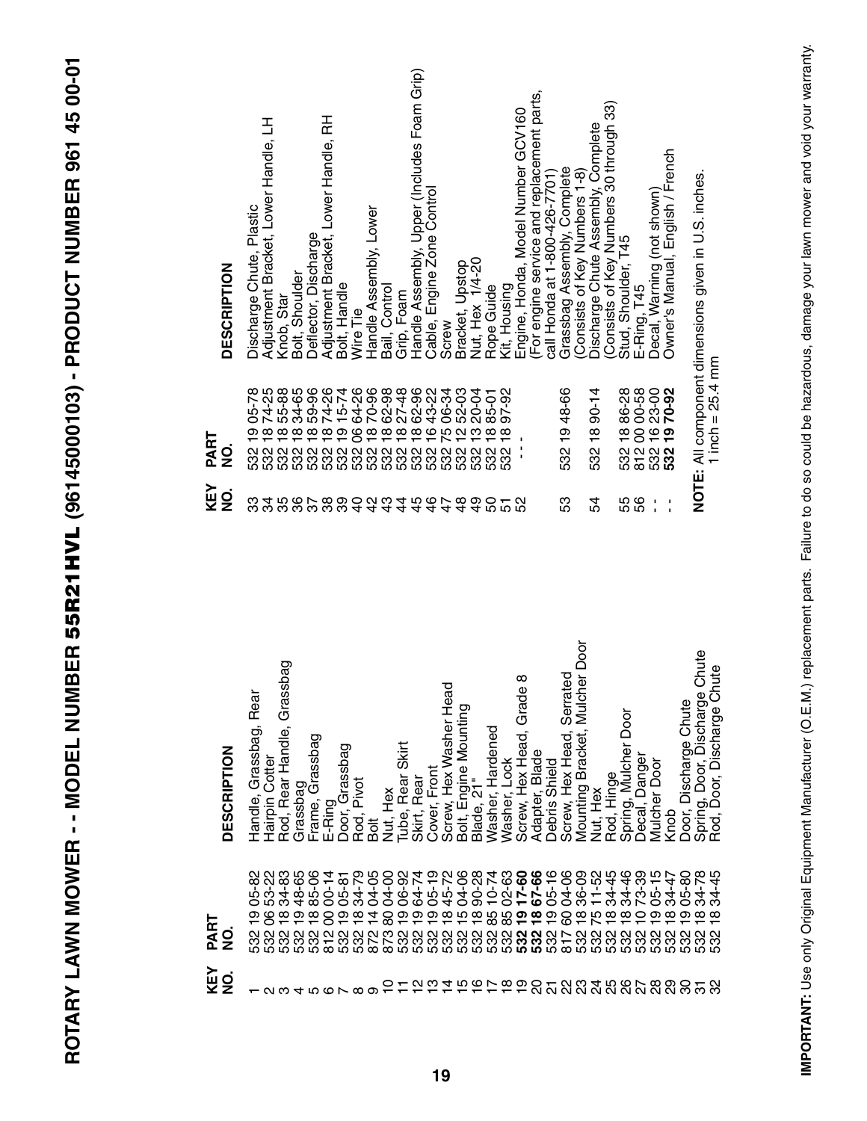| ı<br>ļ                                                                              |
|-------------------------------------------------------------------------------------|
|                                                                                     |
| くくしゃ                                                                                |
|                                                                                     |
| こくり ユーニュー トクニクへん                                                                    |
|                                                                                     |
|                                                                                     |
|                                                                                     |
|                                                                                     |
|                                                                                     |
|                                                                                     |
|                                                                                     |
|                                                                                     |
|                                                                                     |
|                                                                                     |
|                                                                                     |
| $1$ and $1$ and $1$ and $1$ and $1$ and $1$ and $1$                                 |
|                                                                                     |
|                                                                                     |
|                                                                                     |
|                                                                                     |
|                                                                                     |
|                                                                                     |
|                                                                                     |
|                                                                                     |
| 计目标 医气体                                                                             |
|                                                                                     |
|                                                                                     |
| $\frac{1}{2}$                                                                       |
| י<br>ון<br>Í<br>l                                                                   |
| l                                                                                   |
| ĺ<br>l<br>ׇׇ֠֞֡<br>֧֧֧֧֧֦֧֦֧֧֦֧֧֦֧֧֦֧֧֦֧֧֧֧֧֧֧֧֧֧֬֓֬֓֓֝֬֓֓֝֬֓֓֝֬֓֓֓֓֓֓֓֓֓֓֓֓֓֬<br>í |
|                                                                                     |
|                                                                                     |
| <b>NUMBER</b><br>]<br> <br>                                                         |
|                                                                                     |
|                                                                                     |
|                                                                                     |
|                                                                                     |
|                                                                                     |
|                                                                                     |
|                                                                                     |
|                                                                                     |
|                                                                                     |
|                                                                                     |
|                                                                                     |
|                                                                                     |
|                                                                                     |
|                                                                                     |
| ľ<br>Ē                                                                              |
|                                                                                     |
|                                                                                     |

| <b>DESCRIPTION</b> | Rear<br>Handle, Grassbag, | Grassbag<br>Rod, Rear Handle,<br>Hairpin Cotter     | Grassbag    | Grassbag<br>Frame,          | E-Ring                     | Door, Grassbag | Pivot<br>Rod, I                                | Bolt       | Nut, Hex   | Skirt<br>Rear<br>Tube, | Skirt, Rear       | Front<br>Cover, | Hex Washer Head                         | Screw, Hex wasnen in<br>Bolt, Engine Mounting | Blade, 21"     | Hardened<br>Washer, | Lock<br>Washer     | ∞<br>Hex Head, Grade<br>Screw,                                                   | Blade<br>Adapter       | Shield<br><b>Debris</b> | Serrated<br>Screw, Hex Head,                   | Mulcher Door<br>Bracket,<br>Mounting      | Nut, Hex | Rod, Hinge        | boor<br>D<br>Mulcher<br>Spring, | Danger<br>Decal,  | Mulcher Door          | Knob                     | Door, Discharge Chute | Door, Discharge Chute<br>Spring, | Rod, Door, Discharge Chute                   |
|--------------------|---------------------------|-----------------------------------------------------|-------------|-----------------------------|----------------------------|----------------|------------------------------------------------|------------|------------|------------------------|-------------------|-----------------|-----------------------------------------|-----------------------------------------------|----------------|---------------------|--------------------|----------------------------------------------------------------------------------|------------------------|-------------------------|------------------------------------------------|-------------------------------------------|----------|-------------------|---------------------------------|-------------------|-----------------------|--------------------------|-----------------------|----------------------------------|----------------------------------------------|
| PART<br>gi         | $-82$<br>Ġ,<br>532        | 53-22<br>34-83<br>ၝ<br>$\frac{8}{1}$<br>ន្លួន និន្ន | 48-65<br>စ္ | 85-06<br>$\frac{\infty}{1}$ | $00 - 14$<br>8<br>$\infty$ | $05 - 8$<br>တ  | 34-79<br>$\frac{\infty}{1}$<br>888688<br>88688 | 04-05<br>⋣ | 04-00<br>8 | 06-92<br>တ             | 64-74<br>တ<br>532 | $05 - 19$<br>တ  | 45-72<br>$\frac{\infty}{\infty}$<br>532 | 04-06<br>ю                                    | 90-28<br>10-74 | 888                 | $02 - 63$<br>17-60 | თ<br>លួលលួ <b>ល ស្គូ<br/>ប្លូ</b> ក្លូប <b>ប្លូប</b><br>ស្គូលី <b>ល្ហ៍ ប្លូប</b> | 67-66<br>$\frac{8}{1}$ | $05 - 16$<br>တ<br>532   | 04-06<br>ō<br>ភិន្ត្រី<br>ភិន្ត្រី<br>ភិន្ត្រី | 36-09<br>11-52<br>$\frac{\infty}{\infty}$ | ŗΟ       | 34-45<br>$\infty$ | 34-46<br>$\infty$               | 73-39<br>0<br>532 | $05 - 15$<br>တ<br>532 | 34-47<br>$\infty$<br>532 | $05 - 80$<br>တ<br>532 | 34-78<br>$\infty$<br>532         | <u>ιο</u><br>4<br>ਲੇ<br>$\infty$<br>လ္က<br>ഥ |
| KEY<br>$\dot{9}$   |                           | ო<br>N                                              | 4           | ഥ                           | ശ                          |                | $\infty$                                       | တ          | ₽          |                        |                   |                 |                                         |                                               |                |                     |                    | けにおれちおけおめの                                                                       |                        | ត                       | <u>នួ</u> នដូន                                 |                                           |          |                   |                                 | ನಿ ನಿ             |                       | ႙                        | 8                     | ო                                | လ္က                                          |

| KEY<br>$\dot{Q}$     | PART<br>$\dot{Q}$                                                         | <b>DESCRIPTION</b>                                               |
|----------------------|---------------------------------------------------------------------------|------------------------------------------------------------------|
| 34<br>ౢ              | 05-78<br>74-25<br>თ<br>532                                                | Adjustment Bracket, Lower Handle, LH<br>Discharge Chute, Plastic |
|                      | 55-88                                                                     | Knob, Star                                                       |
|                      | 34-65<br>688888988888667888                                               | Bolt, Shoulder                                                   |
|                      | 59-96                                                                     | 준<br>Adjustment Bracket, Lower Handle,<br>Deflector, Discharge   |
|                      | 74-26<br>15-74<br>64-26                                                   | Bolt, Handle                                                     |
|                      |                                                                           | Wire Tie                                                         |
|                      | 70-96                                                                     | Handle Assembly, Lower                                           |
|                      | 88882388<br>87888888<br>8788888                                           | Bail, Control                                                    |
|                      |                                                                           | Grip, Foam                                                       |
|                      |                                                                           | Handle Assembly, Upper (Includes Foam Grip)                      |
|                      |                                                                           | Cable, Engine Zone Control                                       |
|                      |                                                                           | Screw                                                            |
|                      |                                                                           | Bracket, Upstop                                                  |
|                      |                                                                           | $1/4 - 20$<br>Nut, Hex                                           |
|                      | 85-01                                                                     | Rope Guide                                                       |
| 444440000            | 97-92                                                                     | Kit, Housing                                                     |
|                      |                                                                           | Engine, Honda, Model Number GCV160                               |
|                      |                                                                           | (For engine service and replacement parts,                       |
|                      |                                                                           | call Honda at 1-800-426-7701)                                    |
| 53                   | 1948-66<br>532                                                            | Grassbag Assembly, Complete<br>Consists of Key Numbers 1-8)      |
| 54                   | $90-14$<br>$\frac{8}{1}$<br>532                                           | Discharge Chute Assembly, Complete                               |
|                      |                                                                           | ශි<br>Consists of Key Numbers 30 through                         |
|                      | 86-28                                                                     | Stud, Shoulder, T45                                              |
| 55<br>56             | 00-58<br>$\frac{8}{2}$<br>$\begin{array}{c}\n 0 \\ 0 \\ 0 \\ \end{array}$ | T45<br>E-Ring,                                                   |
| J.<br>$\blacksquare$ | 23- <b>92</b><br>70-92<br>$\frac{6}{1}$                                   | Decal, Warning (not shown)                                       |
| ı                    | $\frac{6}{1}$                                                             | Owner's Manual, English / French                                 |
|                      |                                                                           | NOTE: All component dimensions given in U.S. inches.             |
|                      | 1 inch = $25.4$ mm                                                        |                                                                  |

IMPORTANT: Use only Original Equipment Manufacturer (O.E.M.) replacement parts. Failure to do so could be hazardous, damage your lawn mower and void your warranty. **IMPORTANT:** Use only Original Equipment Manufacturer (O.E.M.) replacement parts. Failure to do so could be hazardous, damage your lawn mower and void your warranty.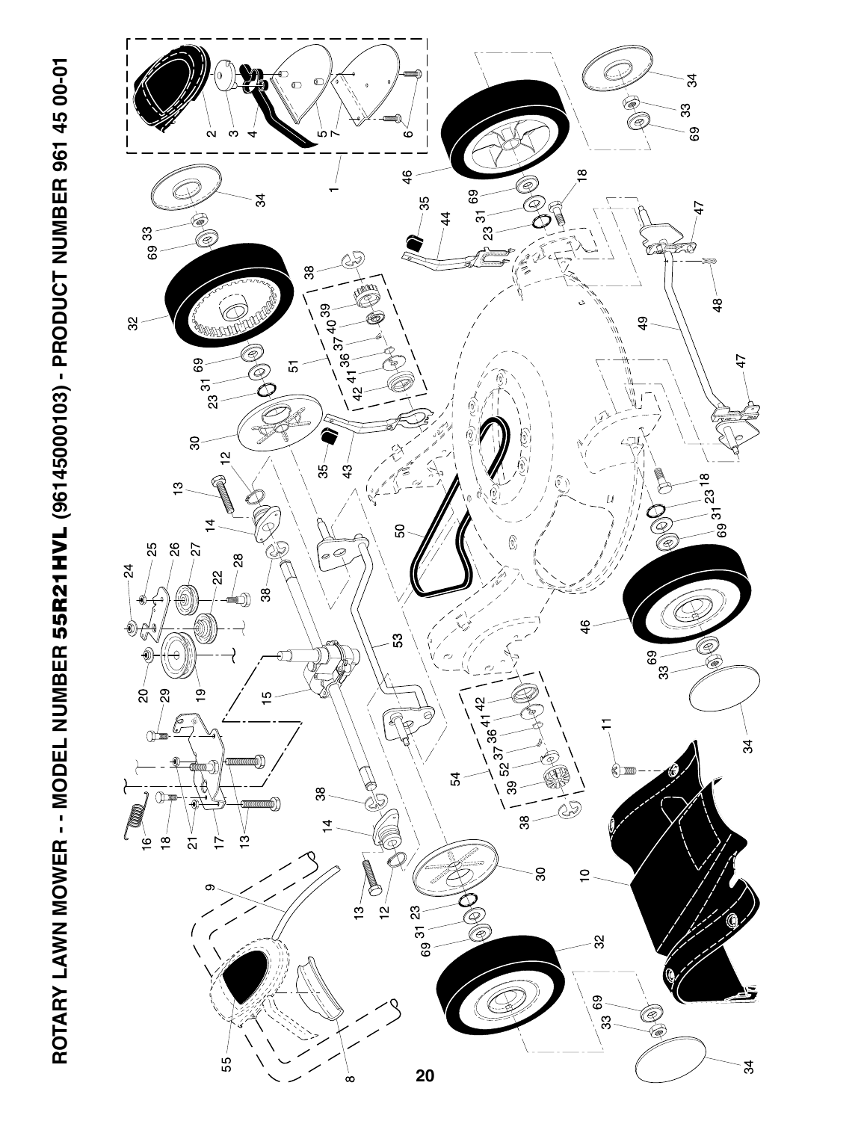

ROTARY LAWN MOWER - - MODEL NUMBER 55R21HVL (96145000103) - PRODUCT NUMBER 961 45 00-01 **ROTARY LAWN MOWER - - MODEL NUMBER 55R21HVL (96145000103) - PRODUCT NUMBER 961 45 00-01**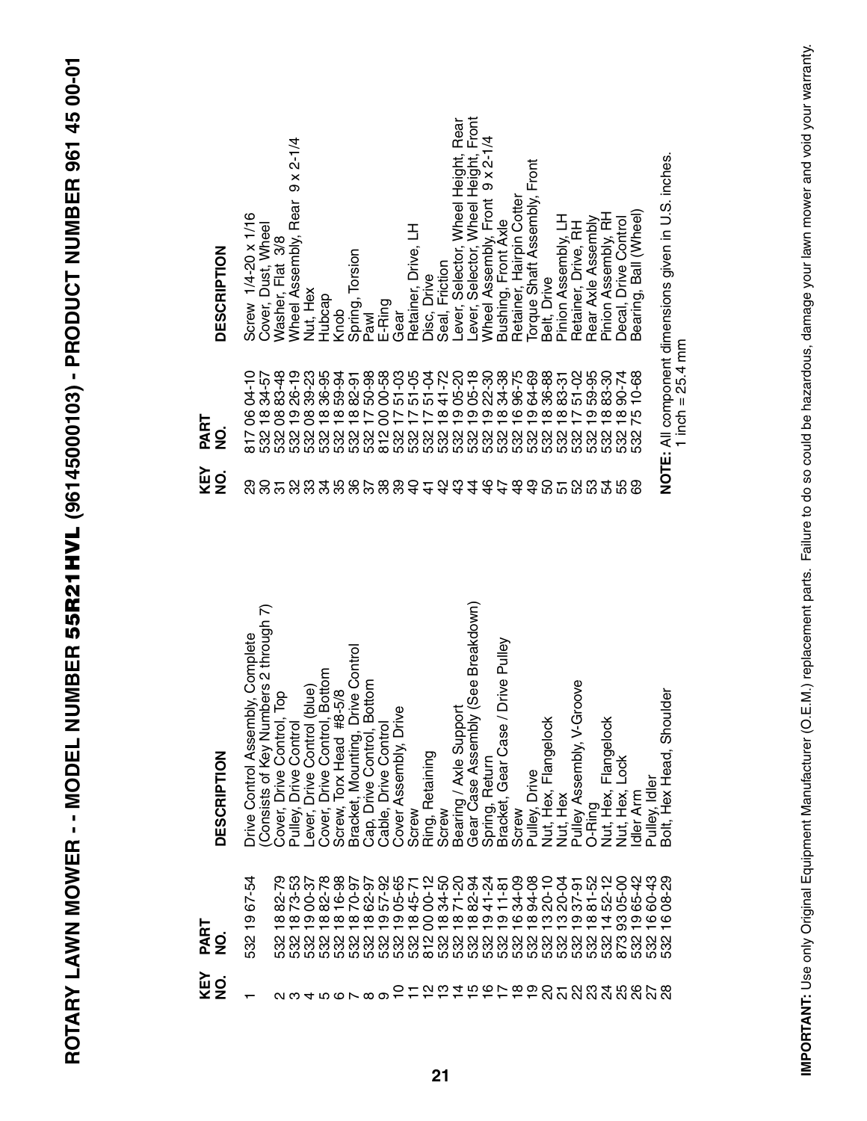| TC CC LT TCC CLCUM                       |  |
|------------------------------------------|--|
|                                          |  |
|                                          |  |
|                                          |  |
|                                          |  |
|                                          |  |
|                                          |  |
|                                          |  |
|                                          |  |
|                                          |  |
|                                          |  |
|                                          |  |
|                                          |  |
|                                          |  |
|                                          |  |
|                                          |  |
|                                          |  |
|                                          |  |
|                                          |  |
|                                          |  |
|                                          |  |
|                                          |  |
|                                          |  |
| י<br>ובובדי ה                            |  |
|                                          |  |
|                                          |  |
|                                          |  |
|                                          |  |
|                                          |  |
|                                          |  |
|                                          |  |
|                                          |  |
|                                          |  |
|                                          |  |
|                                          |  |
|                                          |  |
|                                          |  |
|                                          |  |
|                                          |  |
|                                          |  |
| $\overline{\phantom{a}}$                 |  |
|                                          |  |
|                                          |  |
|                                          |  |
|                                          |  |
|                                          |  |
| <br> <br>                                |  |
|                                          |  |
| - 1<br> <br>                             |  |
|                                          |  |
|                                          |  |
|                                          |  |
|                                          |  |
|                                          |  |
| í                                        |  |
| I                                        |  |
| L<br>L                                   |  |
|                                          |  |
|                                          |  |
|                                          |  |
|                                          |  |
|                                          |  |
|                                          |  |
|                                          |  |
|                                          |  |
|                                          |  |
|                                          |  |
|                                          |  |
|                                          |  |
| נ<br>ל                                   |  |
|                                          |  |
| <b>MODEL NUM</b>                         |  |
|                                          |  |
|                                          |  |
|                                          |  |
| ĭ                                        |  |
|                                          |  |
| í                                        |  |
| $\frac{1}{2}$                            |  |
|                                          |  |
|                                          |  |
|                                          |  |
|                                          |  |
|                                          |  |
|                                          |  |
|                                          |  |
|                                          |  |
|                                          |  |
| ֧֧֓֓֓֓֓֓֓֓֓֓֓֓֓֓֓֓֓֓֓֓֓֓֓֓֓֓֓֓֓֟֓֟֓֟׆֧֧֧ |  |
|                                          |  |
| CLASS CREASE - A                         |  |
|                                          |  |
|                                          |  |
| i<br>S<br>Ļ                              |  |
|                                          |  |
| こくしく                                     |  |
| ن<br>م                                   |  |

| <b>DESCRIPTION</b>     | Screw 1/4-20 x 1/16<br>Cover, Dust, Wheel                                   | Washer, Flat 3/8      | Wheel Assembly, Rear 9 x 2-1/4                                                                        | Nut, Hex                    | Hubcap                                                               | Knob | Spring, Torsion<br>Pawl                                        | E-Ring               | Gear                     | Retainer, Drive, LH | Disc, Drive     | Seal, Friction | Lever, Selector, Wheel Height, Rear<br>Lever, Selector, Wheel Height, Front |                                         | Wheel Assembly, Front 9 x 2-1/4 | Bushing, Front Axle                                                                                                                                                                                                                                                                                 | Retainer, Hairpin Cotter | Torque Shaft Assembly, Front | Belt, Drive               | Pinion Assembly, LH | Retainer, Drive, RH                 | Rear Axle Assembly | Pinion Assembly, RH                | Decal, Drive Control | Bearing, Ball (Wheel) |                              | NOTE: All component dimensions given in U.S. inches. |
|------------------------|-----------------------------------------------------------------------------|-----------------------|-------------------------------------------------------------------------------------------------------|-----------------------------|----------------------------------------------------------------------|------|----------------------------------------------------------------|----------------------|--------------------------|---------------------|-----------------|----------------|-----------------------------------------------------------------------------|-----------------------------------------|---------------------------------|-----------------------------------------------------------------------------------------------------------------------------------------------------------------------------------------------------------------------------------------------------------------------------------------------------|--------------------------|------------------------------|---------------------------|---------------------|-------------------------------------|--------------------|------------------------------------|----------------------|-----------------------|------------------------------|------------------------------------------------------|
| PART<br>g              | 04-10<br>34-57<br>$\frac{8}{1}$<br>8<br>$\overline{817}$                    |                       | 83-48<br>09 26-53<br>09 36-53<br>09 36-53<br>09 36-53<br>09 36-53<br>09 36-53<br>09 36-53<br>17 50-58 |                             |                                                                      |      |                                                                |                      |                          |                     |                 |                |                                                                             |                                         |                                 |                                                                                                                                                                                                                                                                                                     |                          | 532                          |                           |                     |                                     |                    |                                    | 18 90-74<br>532      | 10-68<br>75<br>532    |                              | 1 inch = $25.4$ mm                                   |
| KEY<br>NO.             | ನಿ                                                                          | 828888888888444444448 |                                                                                                       |                             |                                                                      |      |                                                                |                      |                          |                     |                 |                |                                                                             |                                         |                                 |                                                                                                                                                                                                                                                                                                     |                          |                              |                           |                     | 523358                              |                    |                                    |                      |                       |                              |                                                      |
| <b>DESCRIPTION</b>     | Numbers 2 through 7)<br>Drive Control Assembly, Complete<br>Consists of Key |                       | Cover, Drive Control, Top<br>Pulley, Drive Control                                                    | Lever, Drive Control (blue) | Cover, Drive Control, Bottom<br>Screw, Torx Head #8-5/8              |      | Bracket, Mounting, Drive Control<br>Cap, Drive Control, Bottom | Cable, Drive Control | Drive<br>Cover Assembly, | Screw               | Ring, Retaining |                | Screw<br>Bearing / Axle Support                                             | mbly (See Breakdown)<br>Gear Case Asser | Spring, Return                  | Bracket, Gear Case / Drive Pulley                                                                                                                                                                                                                                                                   | Screw                    | Pulley, Drive                | lock<br>Nut, Hex, Flangel | Nut, Hex            | Pulley Assembly, V-Groove<br>O-Ring |                    | $\frac{1}{8}$<br>Nut, Hex, Flangel | Nut, Hex, Lock       | dler Arm              | Pulley, Idler                | Shoulder<br>Bolt, Hex Head                           |
| PART<br>$\overline{2}$ | 67-54<br>$\frac{1}{2}$<br>532                                               |                       | $\frac{1}{9}$                                                                                         |                             | <b>ないのめいてのでんかのとののようのかくのかいできょうかいかいかんかいかんのかのとうかんのうかんかん</b><br>$\infty$ |      | $\frac{\infty}{1}$ $\frac{\infty}{1}$                          | $\frac{1}{9}$        | တ                        |                     |                 |                |                                                                             |                                         |                                 | $\begin{array}{l} 84571 \\ 898472 \\ 89472 \\ 12841 \\ 12841 \\ 12841 \\ 12941 \\ 12941 \\ 12941 \\ 12941 \\ 12941 \\ 12941 \\ 12941 \\ 12941 \\ 12941 \\ 12941 \\ 12941 \\ 12941 \\ 12941 \\ 12941 \\ 12941 \\ 12941 \\ 12941 \\ 12941 \\ 12941 \\ 12941 \\ 12941 \\ 12941 \\ 12941 \\ 12941 \\ 1$ |                          |                              | 13 20-10                  | $\frac{3}{2}$       | တ                                   | $\frac{8}{10}$     |                                    | 93                   | თ                     | 89888888898888888<br>$\circ$ |                                                      |
| KEY<br>NO.             |                                                                             |                       | 234567890111450700012222222                                                                           |                             |                                                                      |      |                                                                |                      |                          |                     |                 |                |                                                                             |                                         |                                 |                                                                                                                                                                                                                                                                                                     |                          |                              |                           |                     |                                     |                    |                                    |                      |                       |                              |                                                      |

IMPORTANT: Use only Original Equipment Manufacturer (O.E.M.) replacement parts. Failure to do so could be hazardous, damage your lawn mower and void your warranty. **IMPORTANT:** Use only Original Equipment Manufacturer (O.E.M.) replacement parts. Failure to do so could be hazardous, damage your lawn mower and void your warranty.